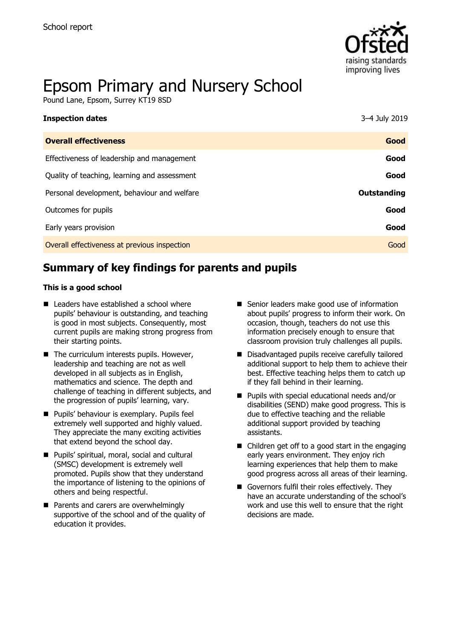

# Epsom Primary and Nursery School

Pound Lane, Epsom, Surrey KT19 8SD

| <b>Inspection dates</b>                      | 3-4 July 2019 |
|----------------------------------------------|---------------|
| <b>Overall effectiveness</b>                 | Good          |
| Effectiveness of leadership and management   | Good          |
| Quality of teaching, learning and assessment | Good          |
| Personal development, behaviour and welfare  | Outstanding   |
| Outcomes for pupils                          | Good          |
| Early years provision                        | Good          |
| Overall effectiveness at previous inspection | Good          |
|                                              |               |

# **Summary of key findings for parents and pupils**

#### **This is a good school**

- Leaders have established a school where pupils' behaviour is outstanding, and teaching is good in most subjects. Consequently, most current pupils are making strong progress from their starting points.
- The curriculum interests pupils. However, leadership and teaching are not as well developed in all subjects as in English, mathematics and science. The depth and challenge of teaching in different subjects, and the progression of pupils' learning, vary.
- Pupils' behaviour is exemplary. Pupils feel extremely well supported and highly valued. They appreciate the many exciting activities that extend beyond the school day.
- Pupils' spiritual, moral, social and cultural (SMSC) development is extremely well promoted. Pupils show that they understand the importance of listening to the opinions of others and being respectful.
- Parents and carers are overwhelmingly supportive of the school and of the quality of education it provides.
- Senior leaders make good use of information about pupils' progress to inform their work. On occasion, though, teachers do not use this information precisely enough to ensure that classroom provision truly challenges all pupils.
- Disadvantaged pupils receive carefully tailored additional support to help them to achieve their best. Effective teaching helps them to catch up if they fall behind in their learning.
- Pupils with special educational needs and/or disabilities (SEND) make good progress. This is due to effective teaching and the reliable additional support provided by teaching assistants.
- Children get off to a good start in the engaging early years environment. They enjoy rich learning experiences that help them to make good progress across all areas of their learning.
- Governors fulfil their roles effectively. They have an accurate understanding of the school's work and use this well to ensure that the right decisions are made.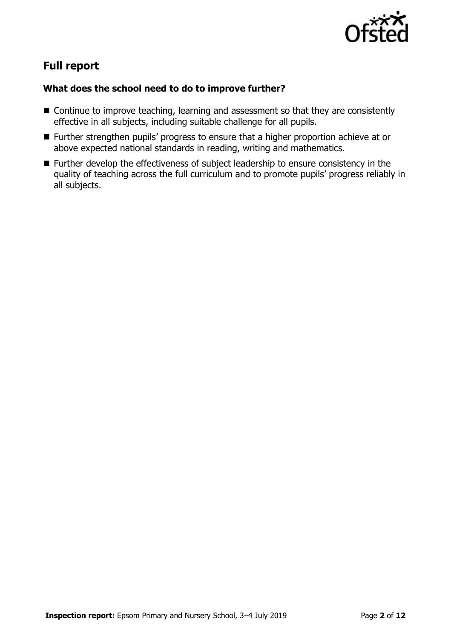

# **Full report**

### **What does the school need to do to improve further?**

- Continue to improve teaching, learning and assessment so that they are consistently effective in all subjects, including suitable challenge for all pupils.
- Further strengthen pupils' progress to ensure that a higher proportion achieve at or above expected national standards in reading, writing and mathematics.
- Further develop the effectiveness of subject leadership to ensure consistency in the quality of teaching across the full curriculum and to promote pupils' progress reliably in all subjects.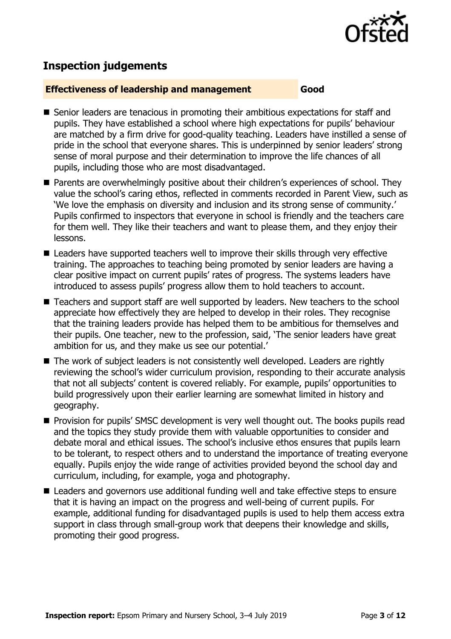

## **Inspection judgements**

#### **Effectiveness of leadership and management Good**

- Senior leaders are tenacious in promoting their ambitious expectations for staff and pupils. They have established a school where high expectations for pupils' behaviour are matched by a firm drive for good-quality teaching. Leaders have instilled a sense of pride in the school that everyone shares. This is underpinned by senior leaders' strong sense of moral purpose and their determination to improve the life chances of all pupils, including those who are most disadvantaged.
- Parents are overwhelmingly positive about their children's experiences of school. They value the school's caring ethos, reflected in comments recorded in Parent View, such as 'We love the emphasis on diversity and inclusion and its strong sense of community.' Pupils confirmed to inspectors that everyone in school is friendly and the teachers care for them well. They like their teachers and want to please them, and they enjoy their lessons.
- Leaders have supported teachers well to improve their skills through very effective training. The approaches to teaching being promoted by senior leaders are having a clear positive impact on current pupils' rates of progress. The systems leaders have introduced to assess pupils' progress allow them to hold teachers to account.
- Teachers and support staff are well supported by leaders. New teachers to the school appreciate how effectively they are helped to develop in their roles. They recognise that the training leaders provide has helped them to be ambitious for themselves and their pupils. One teacher, new to the profession, said, 'The senior leaders have great ambition for us, and they make us see our potential.'
- The work of subject leaders is not consistently well developed. Leaders are rightly reviewing the school's wider curriculum provision, responding to their accurate analysis that not all subjects' content is covered reliably. For example, pupils' opportunities to build progressively upon their earlier learning are somewhat limited in history and geography.
- Provision for pupils' SMSC development is very well thought out. The books pupils read and the topics they study provide them with valuable opportunities to consider and debate moral and ethical issues. The school's inclusive ethos ensures that pupils learn to be tolerant, to respect others and to understand the importance of treating everyone equally. Pupils enjoy the wide range of activities provided beyond the school day and curriculum, including, for example, yoga and photography.
- Leaders and governors use additional funding well and take effective steps to ensure that it is having an impact on the progress and well-being of current pupils. For example, additional funding for disadvantaged pupils is used to help them access extra support in class through small-group work that deepens their knowledge and skills, promoting their good progress.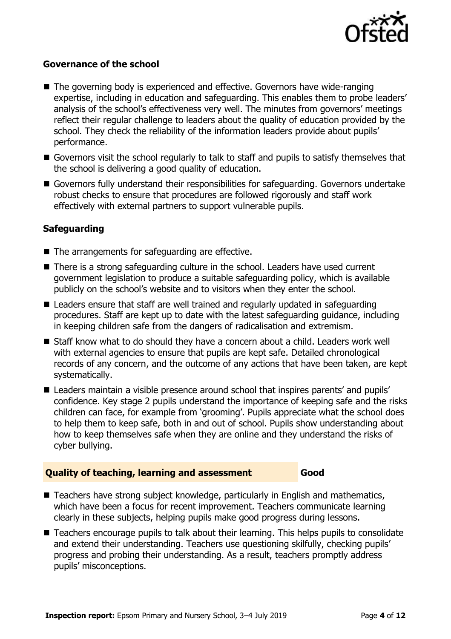

#### **Governance of the school**

- The governing body is experienced and effective. Governors have wide-ranging expertise, including in education and safeguarding. This enables them to probe leaders' analysis of the school's effectiveness very well. The minutes from governors' meetings reflect their regular challenge to leaders about the quality of education provided by the school. They check the reliability of the information leaders provide about pupils' performance.
- Governors visit the school regularly to talk to staff and pupils to satisfy themselves that the school is delivering a good quality of education.
- Governors fully understand their responsibilities for safeguarding. Governors undertake robust checks to ensure that procedures are followed rigorously and staff work effectively with external partners to support vulnerable pupils.

#### **Safeguarding**

- The arrangements for safeguarding are effective.
- There is a strong safeguarding culture in the school. Leaders have used current government legislation to produce a suitable safeguarding policy, which is available publicly on the school's website and to visitors when they enter the school.
- Leaders ensure that staff are well trained and regularly updated in safeguarding procedures. Staff are kept up to date with the latest safeguarding guidance, including in keeping children safe from the dangers of radicalisation and extremism.
- Staff know what to do should they have a concern about a child. Leaders work well with external agencies to ensure that pupils are kept safe. Detailed chronological records of any concern, and the outcome of any actions that have been taken, are kept systematically.
- Leaders maintain a visible presence around school that inspires parents' and pupils' confidence. Key stage 2 pupils understand the importance of keeping safe and the risks children can face, for example from 'grooming'. Pupils appreciate what the school does to help them to keep safe, both in and out of school. Pupils show understanding about how to keep themselves safe when they are online and they understand the risks of cyber bullying.

#### **Quality of teaching, learning and assessment Good**

- Teachers have strong subject knowledge, particularly in English and mathematics, which have been a focus for recent improvement. Teachers communicate learning clearly in these subjects, helping pupils make good progress during lessons.
- Teachers encourage pupils to talk about their learning. This helps pupils to consolidate and extend their understanding. Teachers use questioning skilfully, checking pupils' progress and probing their understanding. As a result, teachers promptly address pupils' misconceptions.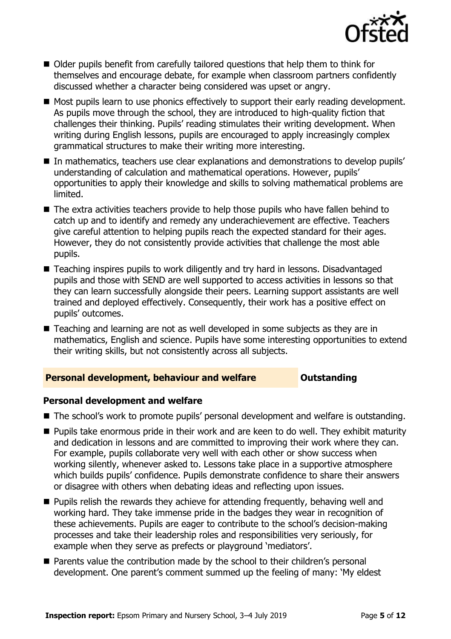

- Older pupils benefit from carefully tailored questions that help them to think for themselves and encourage debate, for example when classroom partners confidently discussed whether a character being considered was upset or angry.
- Most pupils learn to use phonics effectively to support their early reading development. As pupils move through the school, they are introduced to high-quality fiction that challenges their thinking. Pupils' reading stimulates their writing development. When writing during English lessons, pupils are encouraged to apply increasingly complex grammatical structures to make their writing more interesting.
- In mathematics, teachers use clear explanations and demonstrations to develop pupils' understanding of calculation and mathematical operations. However, pupils' opportunities to apply their knowledge and skills to solving mathematical problems are limited.
- The extra activities teachers provide to help those pupils who have fallen behind to catch up and to identify and remedy any underachievement are effective. Teachers give careful attention to helping pupils reach the expected standard for their ages. However, they do not consistently provide activities that challenge the most able pupils.
- Teaching inspires pupils to work diligently and try hard in lessons. Disadvantaged pupils and those with SEND are well supported to access activities in lessons so that they can learn successfully alongside their peers. Learning support assistants are well trained and deployed effectively. Consequently, their work has a positive effect on pupils' outcomes.
- Teaching and learning are not as well developed in some subjects as they are in mathematics, English and science. Pupils have some interesting opportunities to extend their writing skills, but not consistently across all subjects.

### **Personal development, behaviour and welfare <b>COULD** Dutstanding

#### **Personal development and welfare**

- The school's work to promote pupils' personal development and welfare is outstanding.
- Pupils take enormous pride in their work and are keen to do well. They exhibit maturity and dedication in lessons and are committed to improving their work where they can. For example, pupils collaborate very well with each other or show success when working silently, whenever asked to. Lessons take place in a supportive atmosphere which builds pupils' confidence. Pupils demonstrate confidence to share their answers or disagree with others when debating ideas and reflecting upon issues.
- Pupils relish the rewards they achieve for attending frequently, behaving well and working hard. They take immense pride in the badges they wear in recognition of these achievements. Pupils are eager to contribute to the school's decision-making processes and take their leadership roles and responsibilities very seriously, for example when they serve as prefects or playground 'mediators'.
- Parents value the contribution made by the school to their children's personal development. One parent's comment summed up the feeling of many: 'My eldest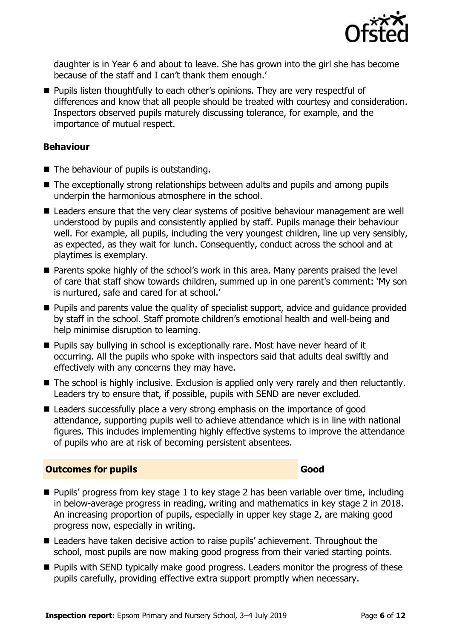

daughter is in Year 6 and about to leave. She has grown into the girl she has become because of the staff and I can't thank them enough.'

■ Pupils listen thoughtfully to each other's opinions. They are very respectful of differences and know that all people should be treated with courtesy and consideration. Inspectors observed pupils maturely discussing tolerance, for example, and the importance of mutual respect.

#### **Behaviour**

- The behaviour of pupils is outstanding.
- The exceptionally strong relationships between adults and pupils and among pupils underpin the harmonious atmosphere in the school.
- Leaders ensure that the very clear systems of positive behaviour management are well understood by pupils and consistently applied by staff. Pupils manage their behaviour well. For example, all pupils, including the very youngest children, line up very sensibly, as expected, as they wait for lunch. Consequently, conduct across the school and at playtimes is exemplary.
- Parents spoke highly of the school's work in this area. Many parents praised the level of care that staff show towards children, summed up in one parent's comment: 'My son is nurtured, safe and cared for at school.'
- Pupils and parents value the quality of specialist support, advice and guidance provided by staff in the school. Staff promote children's emotional health and well-being and help minimise disruption to learning.
- Pupils say bullying in school is exceptionally rare. Most have never heard of it occurring. All the pupils who spoke with inspectors said that adults deal swiftly and effectively with any concerns they may have.
- The school is highly inclusive. Exclusion is applied only very rarely and then reluctantly. Leaders try to ensure that, if possible, pupils with SEND are never excluded.
- Leaders successfully place a very strong emphasis on the importance of good attendance, supporting pupils well to achieve attendance which is in line with national figures. This includes implementing highly effective systems to improve the attendance of pupils who are at risk of becoming persistent absentees.

### **Outcomes for pupils Good**

- Pupils' progress from key stage 1 to key stage 2 has been variable over time, including in below-average progress in reading, writing and mathematics in key stage 2 in 2018. An increasing proportion of pupils, especially in upper key stage 2, are making good progress now, especially in writing.
- Leaders have taken decisive action to raise pupils' achievement. Throughout the school, most pupils are now making good progress from their varied starting points.
- Pupils with SEND typically make good progress. Leaders monitor the progress of these pupils carefully, providing effective extra support promptly when necessary.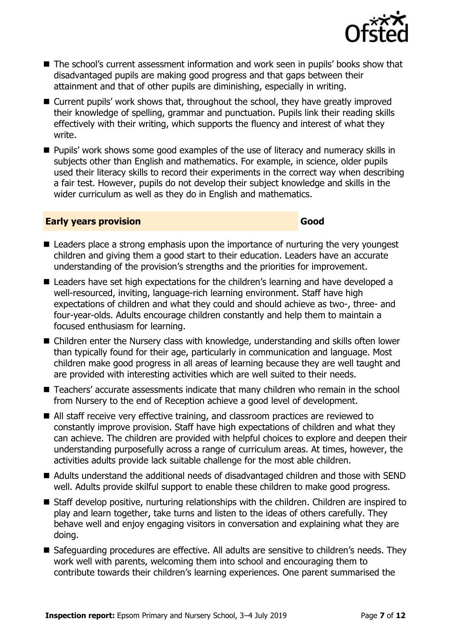

- The school's current assessment information and work seen in pupils' books show that disadvantaged pupils are making good progress and that gaps between their attainment and that of other pupils are diminishing, especially in writing.
- Current pupils' work shows that, throughout the school, they have greatly improved their knowledge of spelling, grammar and punctuation. Pupils link their reading skills effectively with their writing, which supports the fluency and interest of what they write.
- Pupils' work shows some good examples of the use of literacy and numeracy skills in subjects other than English and mathematics. For example, in science, older pupils used their literacy skills to record their experiments in the correct way when describing a fair test. However, pupils do not develop their subject knowledge and skills in the wider curriculum as well as they do in English and mathematics.

#### **Early years provision Good Good**

- Leaders place a strong emphasis upon the importance of nurturing the very youngest children and giving them a good start to their education. Leaders have an accurate understanding of the provision's strengths and the priorities for improvement.
- Leaders have set high expectations for the children's learning and have developed a well-resourced, inviting, language-rich learning environment. Staff have high expectations of children and what they could and should achieve as two-, three- and four-year-olds. Adults encourage children constantly and help them to maintain a focused enthusiasm for learning.
- Children enter the Nursery class with knowledge, understanding and skills often lower than typically found for their age, particularly in communication and language. Most children make good progress in all areas of learning because they are well taught and are provided with interesting activities which are well suited to their needs.
- Teachers' accurate assessments indicate that many children who remain in the school from Nursery to the end of Reception achieve a good level of development.
- All staff receive very effective training, and classroom practices are reviewed to constantly improve provision. Staff have high expectations of children and what they can achieve. The children are provided with helpful choices to explore and deepen their understanding purposefully across a range of curriculum areas. At times, however, the activities adults provide lack suitable challenge for the most able children.
- Adults understand the additional needs of disadvantaged children and those with SEND well. Adults provide skilful support to enable these children to make good progress.
- Staff develop positive, nurturing relationships with the children. Children are inspired to play and learn together, take turns and listen to the ideas of others carefully. They behave well and enjoy engaging visitors in conversation and explaining what they are doing.
- Safeguarding procedures are effective. All adults are sensitive to children's needs. They work well with parents, welcoming them into school and encouraging them to contribute towards their children's learning experiences. One parent summarised the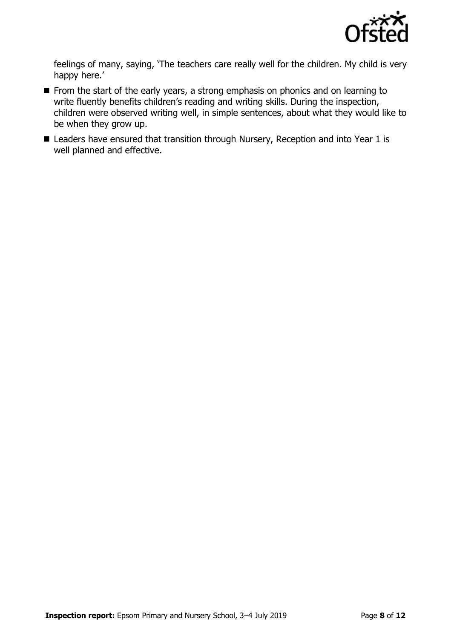

feelings of many, saying, 'The teachers care really well for the children. My child is very happy here.'

- From the start of the early years, a strong emphasis on phonics and on learning to write fluently benefits children's reading and writing skills. During the inspection, children were observed writing well, in simple sentences, about what they would like to be when they grow up.
- Leaders have ensured that transition through Nursery, Reception and into Year 1 is well planned and effective.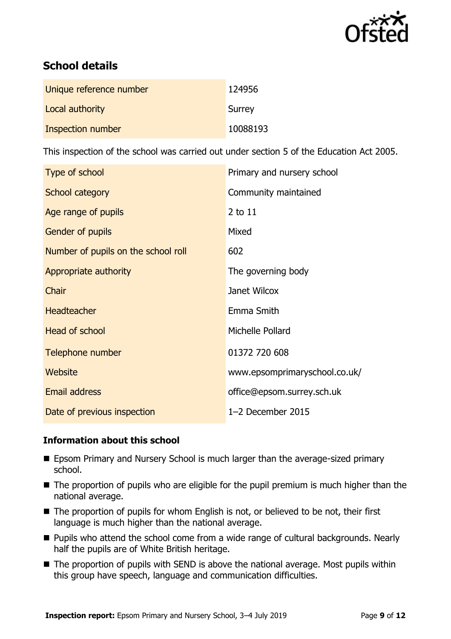

# **School details**

| Unique reference number | 124956   |
|-------------------------|----------|
| Local authority         | Surrey   |
| Inspection number       | 10088193 |

This inspection of the school was carried out under section 5 of the Education Act 2005.

| Type of school                      | Primary and nursery school    |
|-------------------------------------|-------------------------------|
| School category                     | Community maintained          |
| Age range of pupils                 | 2 to 11                       |
| Gender of pupils                    | Mixed                         |
| Number of pupils on the school roll | 602                           |
| Appropriate authority               | The governing body            |
| Chair                               | Janet Wilcox                  |
| <b>Headteacher</b>                  | Emma Smith                    |
| <b>Head of school</b>               | Michelle Pollard              |
| Telephone number                    | 01372 720 608                 |
| <b>Website</b>                      | www.epsomprimaryschool.co.uk/ |
| <b>Email address</b>                | office@epsom.surrey.sch.uk    |
| Date of previous inspection         | 1-2 December 2015             |

### **Information about this school**

- Epsom Primary and Nursery School is much larger than the average-sized primary school.
- The proportion of pupils who are eligible for the pupil premium is much higher than the national average.
- The proportion of pupils for whom English is not, or believed to be not, their first language is much higher than the national average.
- Pupils who attend the school come from a wide range of cultural backgrounds. Nearly half the pupils are of White British heritage.
- The proportion of pupils with SEND is above the national average. Most pupils within this group have speech, language and communication difficulties.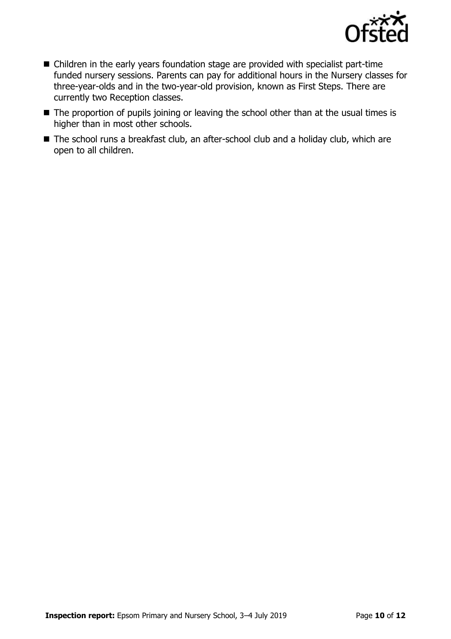

- Children in the early years foundation stage are provided with specialist part-time funded nursery sessions. Parents can pay for additional hours in the Nursery classes for three-year-olds and in the two-year-old provision, known as First Steps. There are currently two Reception classes.
- The proportion of pupils joining or leaving the school other than at the usual times is higher than in most other schools.
- The school runs a breakfast club, an after-school club and a holiday club, which are open to all children.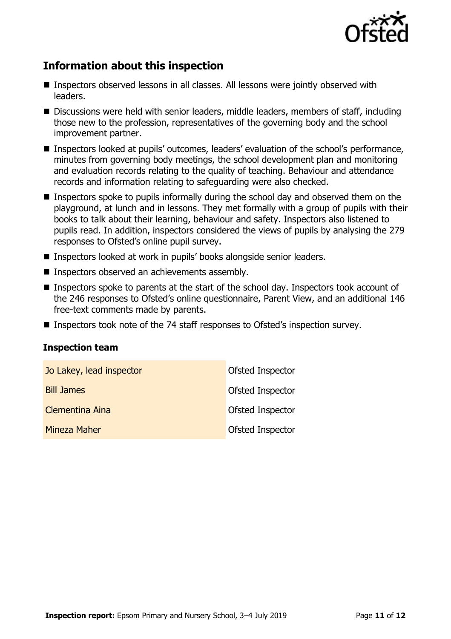

# **Information about this inspection**

- Inspectors observed lessons in all classes. All lessons were jointly observed with leaders.
- Discussions were held with senior leaders, middle leaders, members of staff, including those new to the profession, representatives of the governing body and the school improvement partner.
- Inspectors looked at pupils' outcomes, leaders' evaluation of the school's performance, minutes from governing body meetings, the school development plan and monitoring and evaluation records relating to the quality of teaching. Behaviour and attendance records and information relating to safeguarding were also checked.
- Inspectors spoke to pupils informally during the school day and observed them on the playground, at lunch and in lessons. They met formally with a group of pupils with their books to talk about their learning, behaviour and safety. Inspectors also listened to pupils read. In addition, inspectors considered the views of pupils by analysing the 279 responses to Ofsted's online pupil survey.
- Inspectors looked at work in pupils' books alongside senior leaders.
- Inspectors observed an achievements assembly.
- Inspectors spoke to parents at the start of the school day. Inspectors took account of the 246 responses to Ofsted's online questionnaire, Parent View, and an additional 146 free-text comments made by parents.
- Inspectors took note of the 74 staff responses to Ofsted's inspection survey.

#### **Inspection team**

| Jo Lakey, lead inspector | Ofsted Inspector        |
|--------------------------|-------------------------|
| <b>Bill James</b>        | <b>Ofsted Inspector</b> |
| Clementina Aina          | <b>Ofsted Inspector</b> |
| Mineza Maher             | <b>Ofsted Inspector</b> |